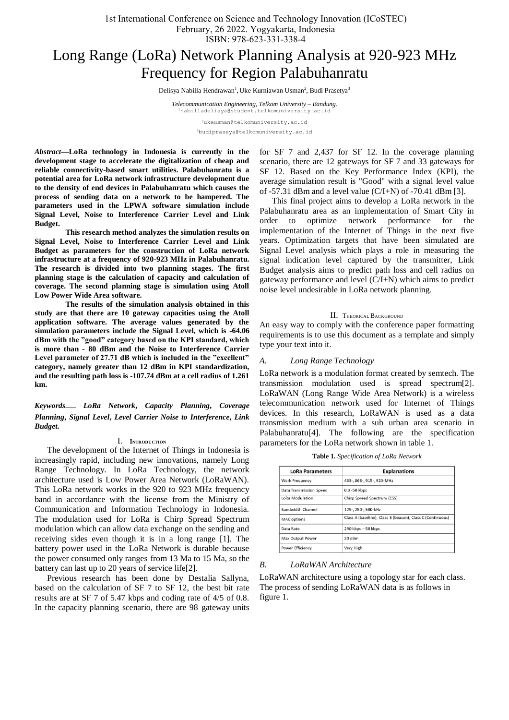1st International Conference on Science and Technology Innovation (ICoSTEC) February, 26 2022. Yogyakarta, Indonesia

# ISBN: 978-623-331-338-4

# Long Range (LoRa) Network Planning Analysis at 920-923 MHz Frequency for Region Palabuhanratu

Delisya Nabilla Hendrawan<sup>1</sup>, Uke Kurniawan Usman<sup>2</sup>, Budi Prasetya<sup>3</sup>

*Telecommunication Engineering, Telkom University – Bandung.* <sup>1</sup>nabilladelisya@student.telkomuniversity.ac.id

> <sup>2</sup>[uk](mailto:1first.author@first-third.edu)eusman@telkomuniversity.ac.id <sup>3</sup>budipraseya@telkomuniversity.ac.id

*Abstract***—LoRa technology in Indonesia is currently in the development stage to accelerate the digitalization of cheap and reliable connectivity-based smart utilities. Palabuhanratu is a potential area for LoRa network infrastructure development due to the density of end devices in Palabuhanratu which causes the process of sending data on a network to be hampered. The parameters used in the LPWA software simulation include Signal Level, Noise to Interference Carrier Level and Link Budget.** 

**This research method analyzes the simulation results on Signal Level, Noise to Interference Carrier Level and Link Budget as parameters for the construction of LoRa network infrastructure at a frequency of 920-923 MHz in Palabuhanratu. The research is divided into two planning stages. The first planning stage is the calculation of capacity and calculation of coverage. The second planning stage is simulation using Atoll Low Power Wide Area software.** 

**The results of the simulation analysis obtained in this study are that there are 10 gateway capacities using the Atoll application software. The average values generated by the simulation parameters include the Signal Level, which is -64.06 dBm with the "good" category based on the KPI standard, which is more than - 80 dBm and the Noise to Interference Carrier Level parameter of 27.71 dB which is included in the "excellent" category, namely greater than 12 dBm in KPI standardization, and the resulting path loss is -107.74 dBm at a cell radius of 1.261 km.**

*Keywords*— *LoRa Network***,** *Capacity Planning***,** *Coverage Planning***,** *Signal Level***,** *Level Carrier Noise to Interference***,** *Link Budget.*

#### I. **INTRODUCTION**

The development of the Internet of Things in Indonesia is increasingly rapid, including new innovations, namely Long Range Technology. In LoRa Technology, the network architecture used is Low Power Area Network (LoRaWAN). This LoRa network works in the 920 to 923 MHz frequency band in accordance with the license from the Ministry of Communication and Information Technology in Indonesia. The modulation used for LoRa is Chirp Spread Spectrum modulation which can allow data exchange on the sending and receiving sides even though it is in a long range [1]. The battery power used in the LoRa Network is durable because the power consumed only ranges from 13 Ma to 15 Ma, so the battery can last up to 20 years of service life[2].

Previous research has been done by Destalia Sallyna, based on the calculation of SF 7 to SF 12, the best bit rate results are at SF 7 of 5.47 kbps and coding rate of 4/5 of 0.8. In the capacity planning scenario, there are 98 gateway units

for SF 7 and 2,437 for SF 12. In the coverage planning scenario, there are 12 gateways for SF 7 and 33 gateways for SF 12. Based on the Key Performance Index (KPI), the average simulation result is "Good" with a signal level value of  $-57.31$  dBm and a level value (C/I+N) of  $-70.41$  dBm [3].

This final project aims to develop a LoRa network in the Palabuhanratu area as an implementation of Smart City in order to optimize network performance for the implementation of the Internet of Things in the next five years. Optimization targets that have been simulated are Signal Level analysis which plays a role in measuring the signal indication level captured by the transmitter, Link Budget analysis aims to predict path loss and cell radius on gateway performance and level (C/I+N) which aims to predict noise level undesirable in LoRa network planning.

#### II. THEORICAL BACKGROUND

An easy way to comply with the conference paper formatting requirements is to use this document as a template and simply type your text into it.

#### *A. Long Range Technology*

LoRa network is a modulation format created by semtech. The transmission modulation used is spread spectrum[2]. LoRaWAN (Long Range Wide Area Network) is a wireless telecommunication network used for Internet of Things devices. In this research, LoRaWAN is used as a data transmission medium with a sub urban area scenario in Palabuhanratu[4]. The following are the specification parameters for the LoRa network shown in table 1.

| <b>LoRa Parameters</b>  | <b>Explanations</b>                                        |
|-------------------------|------------------------------------------------------------|
| Work Frequency          | 433-, 868-, 915-, 923-MHz                                  |
| Data Transmission Speed | 0.3 -50 kbps                                               |
| LoRa Modulation         | Chirp Spread Spectrum (CSS)                                |
| Bandwidth Channel       | 125-. 250-. 500-kHz                                        |
| <b>MAC</b> options      | Class A (baseline), Class B (beacon), Class C (Continuous) |
| Data Rate               | $290$ kbps $-50$ kbps                                      |
| Max Output Power        | 20 dBm                                                     |
| Power Efficiency        | Very High                                                  |

**Table 1.** *Specification of LoRa Network*

*B. LoRaWAN Architecture* 

LoRaWAN architecture using a topology star for each class. The process of sending LoRaWAN data is as follows in figure 1.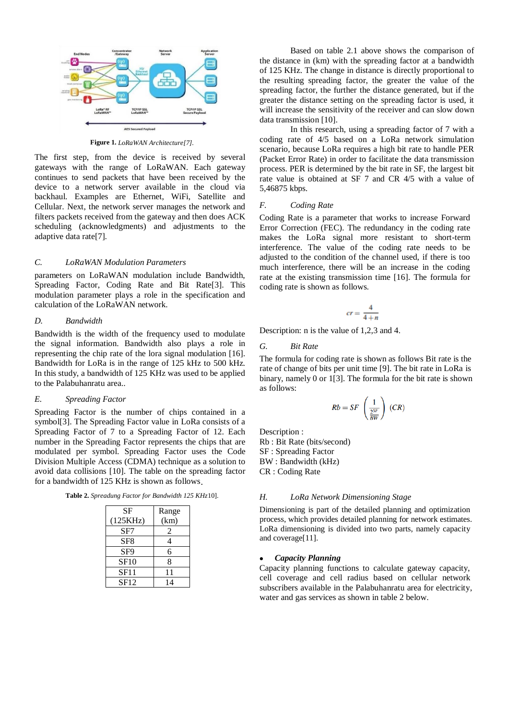

**Figure 1.** *LoRaWAN Architecture[7].*

The first step, from the device is received by several gateways with the range of LoRaWAN. Each gateway continues to send packets that have been received by the device to a network server available in the cloud via backhaul. Examples are Ethernet, WiFi, Satellite and Cellular. Next, the network server manages the network and filters packets received from the gateway and then does ACK scheduling (acknowledgments) and adjustments to the adaptive data rate[7].

# *C. LoRaWAN Modulation Parameters*

parameters on LoRaWAN modulation include Bandwidth, Spreading Factor, Coding Rate and Bit Rate[3]. This modulation parameter plays a role in the specification and calculation of the LoRaWAN network.

#### *D. Bandwidth*

Bandwidth is the width of the frequency used to modulate the signal information. Bandwidth also plays a role in representing the chip rate of the lora signal modulation [16]. Bandwidth for LoRa is in the range of 125 kHz to 500 kHz. In this study, a bandwidth of 125 KHz was used to be applied to the Palabuhanratu area..

## *E. Spreading Factor*

Spreading Factor is the number of chips contained in a symbol[3]. The Spreading Factor value in LoRa consists of a Spreading Factor of 7 to a Spreading Factor of 12. Each number in the Spreading Factor represents the chips that are modulated per symbol. Spreading Factor uses the Code Division Multiple Access (CDMA) technique as a solution to avoid data collisions [10]. The table on the spreading factor for a bandwidth of 125 KHz is shown as follows.

**Table 2.** *Spreadung Factor for Bandwidth 125 KHz*10].

| SF              | Range |
|-----------------|-------|
| (125KHz)        | (km)  |
| SF7             | 2     |
| SF <sub>8</sub> |       |
| SF <sub>9</sub> | 6     |
| <b>SF10</b>     | 8     |
| SF11            | 11    |
| SF12            | 14    |

Based on table 2.1 above shows the comparison of the distance in (km) with the spreading factor at a bandwidth of 125 KHz. The change in distance is directly proportional to the resulting spreading factor, the greater the value of the spreading factor, the further the distance generated, but if the greater the distance setting on the spreading factor is used, it will increase the sensitivity of the receiver and can slow down data transmission [10].

In this research, using a spreading factor of 7 with a coding rate of 4/5 based on a LoRa network simulation scenario, because LoRa requires a high bit rate to handle PER (Packet Error Rate) in order to facilitate the data transmission process. PER is determined by the bit rate in SF, the largest bit rate value is obtained at SF 7 and CR 4/5 with a value of 5,46875 kbps.

#### *F. Coding Rate*

Coding Rate is a parameter that works to increase Forward Error Correction (FEC). The redundancy in the coding rate makes the LoRa signal more resistant to short-term interference. The value of the coding rate needs to be adjusted to the condition of the channel used, if there is too much interference, there will be an increase in the coding rate at the existing transmission time [16]. The formula for coding rate is shown as follows.

$$
cr=\frac{4}{4+n}
$$

Description: n is the value of 1,2,3 and 4.

#### *G. Bit Rate*

The formula for coding rate is shown as follows Bit rate is the rate of change of bits per unit time [9]. The bit rate in LoRa is binary, namely 0 or 1[3]. The formula for the bit rate is shown as follows:

$$
Rb = SF \left(\frac{1}{\frac{2^{SF}}{BW}}\right) (CR)
$$

Description : Rb : Bit Rate (bits/second) SF : Spreading Factor BW : Bandwidth (kHz) CR : Coding Rate

#### *H. LoRa Network Dimensioning Stage*

Dimensioning is part of the detailed planning and optimization process, which provides detailed planning for network estimates. LoRa dimensioning is divided into two parts, namely capacity and coverage[11].

# *Capacity Planning*

Capacity planning functions to calculate gateway capacity, cell coverage and cell radius based on cellular network subscribers available in the Palabuhanratu area for electricity, water and gas services as shown in table 2 below.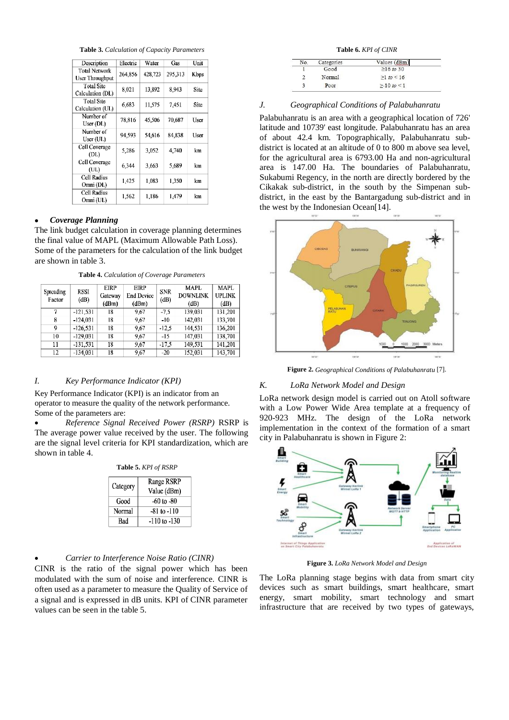**Table 3.** *Calculation of Capacity Parameters*

| Description                             | Electric | Water   | Gas     | Unit |
|-----------------------------------------|----------|---------|---------|------|
| <b>Total Network</b><br>User Throughput | 264.856  | 428.723 | 295.313 | Kbps |
| <b>Total Site</b><br>Calculation (DL)   | 8,021    | 13,892  | 8,943   | Site |
| <b>Total Site</b><br>Calculation (UL)   | 6,683    | 11,575  | 7,451   | Site |
| Number of<br>User (DL)                  | 78,816   | 45,506  | 70,687  | User |
| Number of<br>User (UL)                  | 94.593   | 54,616  | 84,838  | User |
| Cell Coverage<br>(DL)                   | 5,286    | 3,052   | 4,740   | km   |
| Cell Coverage<br>(UL)                   | 6,344    | 3,663   | 5,689   | km   |
| Cell Radius<br>Omni (DL)                | 1,425    | 1.083   | 1,350   | km   |
| Cell Radius<br>Omni (UL)                | 1,562    | 1.186   | 1.479   | km   |

# *Coverage Planning*

The link budget calculation in coverage planning determines the final value of MAPL (Maximum Allowable Path Loss). Some of the parameters for the calculation of the link budget are shown in table 3.

**Table 4.** *Calculation of Coverage Parameters*

| Spreading<br>Factor | <b>RSSI</b><br>(dB) | EIRP<br>Gateway<br>(dBm) | <b>EIRP</b><br><b>End Device</b><br>(dBm) | <b>SNR</b><br>(dB) | <b>MAPL</b><br><b>DOWNLINK</b><br>(dB) | MAPL<br><b>UPLINK</b><br>(dB) |
|---------------------|---------------------|--------------------------|-------------------------------------------|--------------------|----------------------------------------|-------------------------------|
| 7                   | $-121.531$          | 18                       | 9.67                                      | $-7.5$             | 139,031                                | 131,201                       |
| 8                   | $-124.031$          | 18                       | 9.67                                      | $-10$              | 142,031                                | 133,701                       |
| 9                   | $-126,531$          | 18                       | 9,67                                      | $-12.5$            | 144,531                                | 136,201                       |
| 10                  | $-129.031$          | 18                       | 9.67                                      | $-15$              | 147,031                                | 138,701                       |
| 11                  | $-131.531$          | 18                       | 9.67                                      | $-17.5$            | 149,531                                | 141,201                       |
| 12                  | $-134.031$          | 18                       | 9,67                                      | $-20$              | 152,031                                | 143,701                       |

#### *I. Key Performance Indicator (KPI)*

Key Performance Indicator (KPI) is an indicator from an operator to measure the quality of the network performance. Some of the parameters are:

 *Reference Signal Received Power (RSRP)* RSRP is The average power value received by the user. The following are the signal level criteria for KPI standardization, which are shown in table 4.

| Table 5. KPI of RSRP |                           |  |  |
|----------------------|---------------------------|--|--|
| Category             | Range RSRP<br>Value (dBm) |  |  |
| Good                 | $-60$ to $-80$            |  |  |
| Normal               | $-81$ to $-110$           |  |  |
| Bad                  | $-110$ to $-130$          |  |  |

#### *Carrier to Interference Noise Ratio (CINR)*

CINR is the ratio of the signal power which has been modulated with the sum of noise and interference. CINR is often used as a parameter to measure the Quality of Service of a signal and is expressed in dB units. KPI of CINR parameter values can be seen in the table 5.

**Table 6.** *KPI of CINR*

| No. | Categories | Values (dBm)     |
|-----|------------|------------------|
|     | Good       | $\geq 16$ to 30  |
|     | Normal     | $\geq 1$ to < 16 |
|     | Poor       | $>10$ to <1      |

## *J. Geographical Conditions of Palabuhanratu*

Palabuhanratu is an area with a geographical location of 726' latitude and 10739' east longitude. Palabuhanratu has an area of about 42.4 km. Topographically, Palabuhanratu subdistrict is located at an altitude of 0 to 800 m above sea level, for the agricultural area is 6793.00 Ha and non-agricultural area is 147.00 Ha. The boundaries of Palabuhanratu, Sukabumi Regency, in the north are directly bordered by the Cikakak sub-district, in the south by the Simpenan subdistrict, in the east by the Bantargadung sub-district and in the west by the Indonesian Ocean[14].



**Figure 2.** *Geographical Conditions of Palabuhanratu* [7].

#### *K. LoRa Network Model and Design*

LoRa network design model is carried out on Atoll software with a Low Power Wide Area template at a frequency of 920-923 MHz. The design of the LoRa network implementation in the context of the formation of a smart city in Palabuhanratu is shown in Figure 2:



**Figure 3.** *LoRa Network Model and Design* 

The LoRa planning stage begins with data from smart city devices such as smart buildings, smart healthcare, smart energy, smart mobility, smart technology and smart infrastructure that are received by two types of gateways,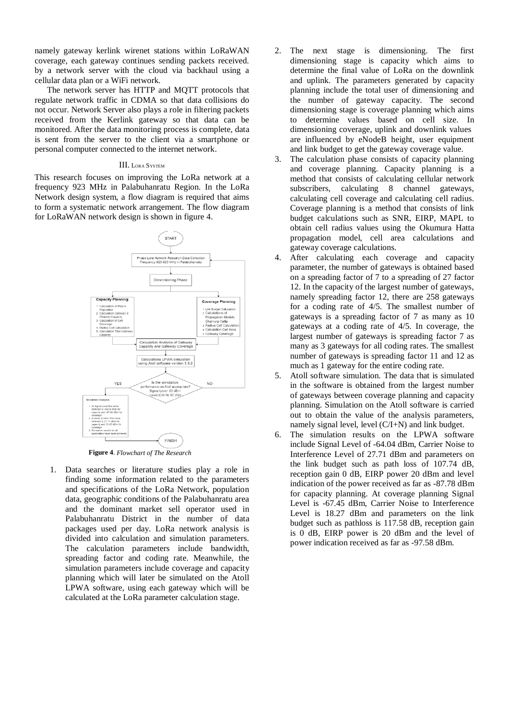namely gateway kerlink wirenet stations within LoRaWAN coverage, each gateway continues sending packets received. by a network server with the cloud via backhaul using a cellular data plan or a WiFi network.

The network server has HTTP and MQTT protocols that regulate network traffic in CDMA so that data collisions do not occur. Network Server also plays a role in filtering packets received from the Kerlink gateway so that data can be monitored. After the data monitoring process is complete, data is sent from the server to the client via a smartphone or personal computer connected to the internet network.

#### III. LORA SYSTEM

This research focuses on improving the LoRa network at a frequency 923 MHz in Palabuhanratu Region. In the LoRa Network design system, a flow diagram is required that aims to form a systematic network arrangement. The flow diagram for LoRaWAN network design is shown in figure 4.



**Figure 4**. *Flowchart of The Research*

1. Data searches or literature studies play a role in finding some information related to the parameters and specifications of the LoRa Network, population data, geographic conditions of the Palabuhanratu area and the dominant market sell operator used in Palabuhanratu District in the number of data packages used per day. LoRa network analysis is divided into calculation and simulation parameters. The calculation parameters include bandwidth, spreading factor and coding rate. Meanwhile, the simulation parameters include coverage and capacity planning which will later be simulated on the Atoll LPWA software, using each gateway which will be calculated at the LoRa parameter calculation stage.

- 2. The next stage is dimensioning. The first dimensioning stage is capacity which aims to determine the final value of LoRa on the downlink and uplink. The parameters generated by capacity planning include the total user of dimensioning and the number of gateway capacity. The second dimensioning stage is coverage planning which aims to determine values based on cell size. In dimensioning coverage, uplink and downlink values are influenced by eNodeB height, user equipment and link budget to get the gateway coverage value.
- 3. The calculation phase consists of capacity planning and coverage planning. Capacity planning is a method that consists of calculating cellular network subscribers, calculating 8 channel gateways, calculating cell coverage and calculating cell radius. Coverage planning is a method that consists of link budget calculations such as SNR, EIRP, MAPL to obtain cell radius values using the Okumura Hatta propagation model, cell area calculations and gateway coverage calculations.
- 4. After calculating each coverage and capacity parameter, the number of gateways is obtained based on a spreading factor of 7 to a spreading of 27 factor 12. In the capacity of the largest number of gateways, namely spreading factor 12, there are 258 gateways for a coding rate of 4/5. The smallest number of gateways is a spreading factor of 7 as many as 10 gateways at a coding rate of 4/5. In coverage, the largest number of gateways is spreading factor 7 as many as 3 gateways for all coding rates. The smallest number of gateways is spreading factor 11 and 12 as much as 1 gateway for the entire coding rate.
- 5. Atoll software simulation. The data that is simulated in the software is obtained from the largest number of gateways between coverage planning and capacity planning. Simulation on the Atoll software is carried out to obtain the value of the analysis parameters, namely signal level, level (C/I+N) and link budget.
- 6. The simulation results on the LPWA software include Signal Level of -64.04 dBm, Carrier Noise to Interference Level of 27.71 dBm and parameters on the link budget such as path loss of 107.74 dB, reception gain 0 dB, EIRP power 20 dBm and level indication of the power received as far as -87.78 dBm for capacity planning. At coverage planning Signal Level is -67.45 dBm, Carrier Noise to Interference Level is 18.27 dBm and parameters on the link budget such as pathloss is 117.58 dB, reception gain is 0 dB, EIRP power is 20 dBm and the level of power indication received as far as -97.58 dBm.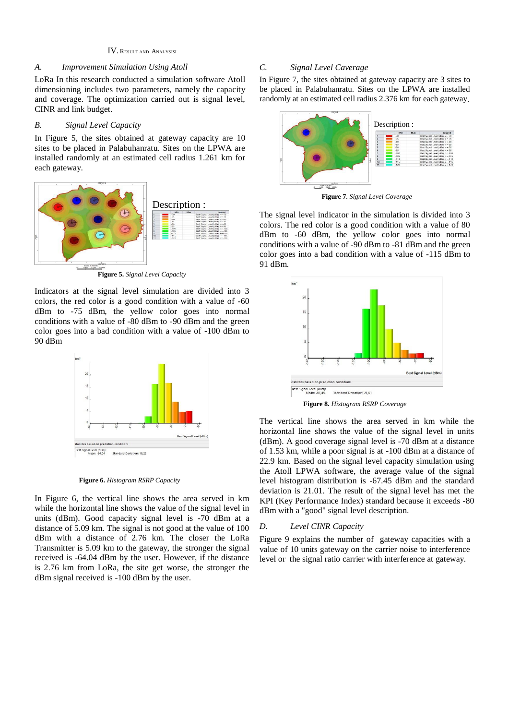#### IV. RESULT AND ANALYSISI

## *A. Improvement Simulation Using Atoll*

LoRa In this research conducted a simulation software Atoll dimensioning includes two parameters, namely the capacity and coverage. The optimization carried out is signal level, CINR and link budget.

# *B. Signal Level Capacity*

In Figure 5, the sites obtained at gateway capacity are 10 sites to be placed in Palabuhanratu. Sites on the LPWA are installed randomly at an estimated cell radius 1.261 km for each gateway.



**Figure 5.** *Signal Level Capacity*

Indicators at the signal level simulation are divided into 3 colors, the red color is a good condition with a value of -60 dBm to -75 dBm, the yellow color goes into normal conditions with a value of -80 dBm to -90 dBm and the green color goes into a bad condition with a value of -100 dBm to 90 dBm



**Figure 6.** *Histogram RSRP Capacity* 

In Figure 6, the vertical line shows the area served in km while the horizontal line shows the value of the signal level in units (dBm). Good capacity signal level is -70 dBm at a distance of 5.09 km. The signal is not good at the value of 100 dBm with a distance of 2.76 km. The closer the LoRa Transmitter is 5.09 km to the gateway, the stronger the signal received is -64.04 dBm by the user. However, if the distance is 2.76 km from LoRa, the site get worse, the stronger the dBm signal received is -100 dBm by the user.

# *C. Signal Level Caverage*

In Figure 7, the sites obtained at gateway capacity are 3 sites to be placed in Palabuhanratu. Sites on the LPWA are installed randomly at an estimated cell radius 2.376 km for each gateway.



**Figure 7***. Signal Level Coverage* 

The signal level indicator in the simulation is divided into 3 colors. The red color is a good condition with a value of 80 dBm to -60 dBm, the yellow color goes into normal conditions with a value of -90 dBm to -81 dBm and the green color goes into a bad condition with a value of -115 dBm to 91 dBm.



**Figure 8.** *Histogram RSRP Coverage* 

The vertical line shows the area served in km while the horizontal line shows the value of the signal level in units (dBm). A good coverage signal level is -70 dBm at a distance of 1.53 km, while a poor signal is at -100 dBm at a distance of 22.9 km. Based on the signal level capacity simulation using the Atoll LPWA software, the average value of the signal level histogram distribution is -67.45 dBm and the standard deviation is 21.01. The result of the signal level has met the KPI (Key Performance Index) standard because it exceeds -80 dBm with a "good" signal level description.

## *D. Level CINR Capacity*

Figure 9 explains the number of gateway capacities with a value of 10 units gateway on the carrier noise to interference level or the signal ratio carrier with interference at gateway.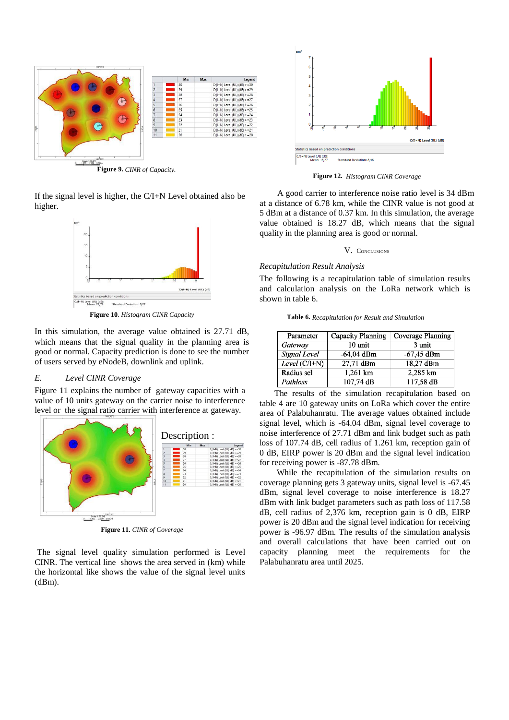

If the signal level is higher, the C/I+N Level obtained also be higher.



**Figure 10***. Histogram CINR Capacity*

In this simulation, the average value obtained is 27.71 dB, which means that the signal quality in the planning area is good or normal. Capacity prediction is done to see the number of users served by eNodeB, downlink and uplink.

#### *E. Level CINR Coverage*

Figure 11 explains the number of gateway capacities with a value of 10 units gateway on the carrier noise to interference level or the signal ratio carrier with interference at gateway.



**Figure 11.** *CINR of Coverage*

The signal level quality simulation performed is Level CINR. The vertical line shows the area served in (km) while the horizontal like shows the value of the signal level units  $(dBm)$ .



**Figure 12.** *Histogram CINR Coverage*

 A good carrier to interference noise ratio level is 34 dBm at a distance of 6.78 km, while the CINR value is not good at 5 dBm at a distance of 0.37 km. In this simulation, the average value obtained is 18.27 dB, which means that the signal quality in the planning area is good or normal.

#### V. CONCLUSIONS

## *Recapitulation Result Analysis*

The following is a recapitulation table of simulation results and calculation analysis on the LoRa network which is shown in table 6.

**Table 6.** *Recapitulation for Result and Simulation* 

| Parameter       | Capacity Planning | Coverage Planning |
|-----------------|-------------------|-------------------|
| Gateway         | 10 unit           | 3 unit            |
| Signal Level    | $-64,04$ dBm      | $-67,45$ dBm      |
| Level $(C/I+N)$ | 27,71 dBm         | 18,27 dBm         |
| Radius sel      | 1,261 km          | 2.285 km          |
| Pathloss        | 107,74 dB         | 117,58 dB         |

 The results of the simulation recapitulation based on table 4 are 10 gateway units on LoRa which cover the entire area of Palabuhanratu. The average values obtained include signal level, which is -64.04 dBm, signal level coverage to noise interference of 27.71 dBm and link budget such as path loss of 107.74 dB, cell radius of 1.261 km, reception gain of 0 dB, EIRP power is 20 dBm and the signal level indication for receiving power is -87.78 dBm.

 While the recapitulation of the simulation results on coverage planning gets 3 gateway units, signal level is -67.45 dBm, signal level coverage to noise interference is 18.27 dBm with link budget parameters such as path loss of 117.58 dB, cell radius of 2,376 km, reception gain is 0 dB, EIRP power is 20 dBm and the signal level indication for receiving power is -96.97 dBm. The results of the simulation analysis and overall calculations that have been carried out on capacity planning meet the requirements for the Palabuhanratu area until 2025.